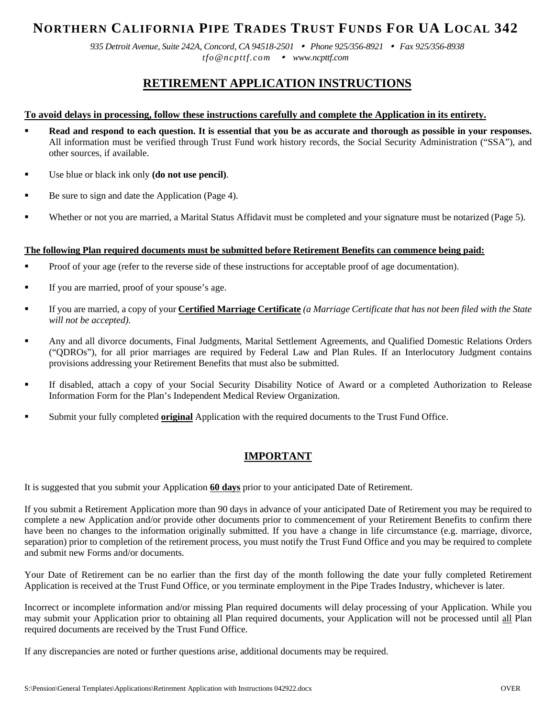# **NORTHERN CALIFORNIA PIPE TRADES TRUST FUNDS FOR UA LOCAL 342**

*935 Detroit Avenue, Suite 242A, Concord, CA 94518-2501 Phone 925/356-8921 Fax 925/356-8938 tfo@ncpttf.com www.ncpttf.com*

# **RETIREMENT APPLICATION INSTRUCTIONS**

### **To avoid delays in processing, follow these instructions carefully and complete the Application in its entirety.**

- **Read and respond to each question. It is essential that you be as accurate and thorough as possible in your responses.** All information must be verified through Trust Fund work history records, the Social Security Administration ("SSA"), and other sources, if available.
- Use blue or black ink only **(do not use pencil)**.
- Be sure to sign and date the Application (Page 4).
- Whether or not you are married, a Marital Status Affidavit must be completed and your signature must be notarized (Page 5).

### **The following Plan required documents must be submitted before Retirement Benefits can commence being paid:**

- Proof of your age (refer to the reverse side of these instructions for acceptable proof of age documentation).
- If you are married, proof of your spouse's age.
- If you are married, a copy of your **Certified Marriage Certificate** *(a Marriage Certificate that has not been filed with the State will not be accepted).*
- Any and all divorce documents, Final Judgments, Marital Settlement Agreements, and Qualified Domestic Relations Orders ("QDROs"), for all prior marriages are required by Federal Law and Plan Rules. If an Interlocutory Judgment contains provisions addressing your Retirement Benefits that must also be submitted.
- If disabled, attach a copy of your Social Security Disability Notice of Award or a completed Authorization to Release Information Form for the Plan's Independent Medical Review Organization.
- Submit your fully completed **original** Application with the required documents to the Trust Fund Office.

## **IMPORTANT**

It is suggested that you submit your Application **60 days** prior to your anticipated Date of Retirement.

If you submit a Retirement Application more than 90 days in advance of your anticipated Date of Retirement you may be required to complete a new Application and/or provide other documents prior to commencement of your Retirement Benefits to confirm there have been no changes to the information originally submitted. If you have a change in life circumstance (e.g. marriage, divorce, separation) prior to completion of the retirement process, you must notify the Trust Fund Office and you may be required to complete and submit new Forms and/or documents.

Your Date of Retirement can be no earlier than the first day of the month following the date your fully completed Retirement Application is received at the Trust Fund Office, or you terminate employment in the Pipe Trades Industry, whichever is later.

Incorrect or incomplete information and/or missing Plan required documents will delay processing of your Application. While you may submit your Application prior to obtaining all Plan required documents, your Application will not be processed until all Plan required documents are received by the Trust Fund Office.

If any discrepancies are noted or further questions arise, additional documents may be required.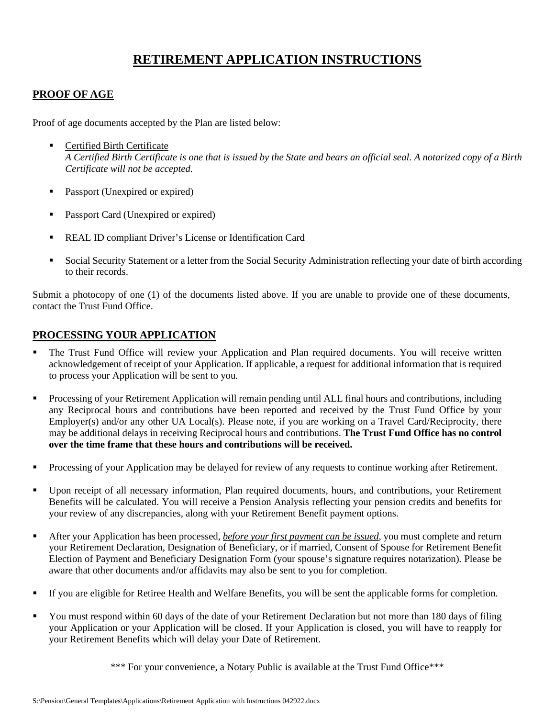# **RETIREMENT APPLICATION INSTRUCTIONS**

## **PROOF OF AGE**

Proof of age documents accepted by the Plan are listed below:

- Certified Birth Certificate *A Certified Birth Certificate is one that is issued by the State and bears an official seal. A notarized copy of a Birth Certificate will not be accepted.*
- Passport (Unexpired or expired)
- **Passport Card (Unexpired or expired)**
- REAL ID compliant Driver's License or Identification Card
- Social Security Statement or a letter from the Social Security Administration reflecting your date of birth according to their records.

Submit a photocopy of one (1) of the documents listed above. If you are unable to provide one of these documents, contact the Trust Fund Office.

## **PROCESSING YOUR APPLICATION**

- The Trust Fund Office will review your Application and Plan required documents. You will receive written acknowledgement of receipt of your Application. If applicable, a request for additional information that is required to process your Application will be sent to you.
- **Processing of your Retirement Application will remain pending until ALL final hours and contributions, including** any Reciprocal hours and contributions have been reported and received by the Trust Fund Office by your Employer(s) and/or any other UA Local(s). Please note, if you are working on a Travel Card/Reciprocity, there may be additional delays in receiving Reciprocal hours and contributions. **The Trust Fund Office has no control over the time frame that these hours and contributions will be received.**
- Processing of your Application may be delayed for review of any requests to continue working after Retirement.
- Upon receipt of all necessary information, Plan required documents, hours, and contributions, your Retirement Benefits will be calculated. You will receive a Pension Analysis reflecting your pension credits and benefits for your review of any discrepancies, along with your Retirement Benefit payment options.
- After your Application has been processed, *before your first payment can be issued*, you must complete and return your Retirement Declaration, Designation of Beneficiary, or if married, Consent of Spouse for Retirement Benefit Election of Payment and Beneficiary Designation Form (your spouse's signature requires notarization)*.* Please be aware that other documents and/or affidavits may also be sent to you for completion.
- If you are eligible for Retiree Health and Welfare Benefits, you will be sent the applicable forms for completion.
- You must respond within 60 days of the date of your Retirement Declaration but not more than 180 days of filing your Application or your Application will be closed. If your Application is closed, you will have to reapply for your Retirement Benefits which will delay your Date of Retirement.

\*\*\* For your convenience, a Notary Public is available at the Trust Fund Office\*\*\*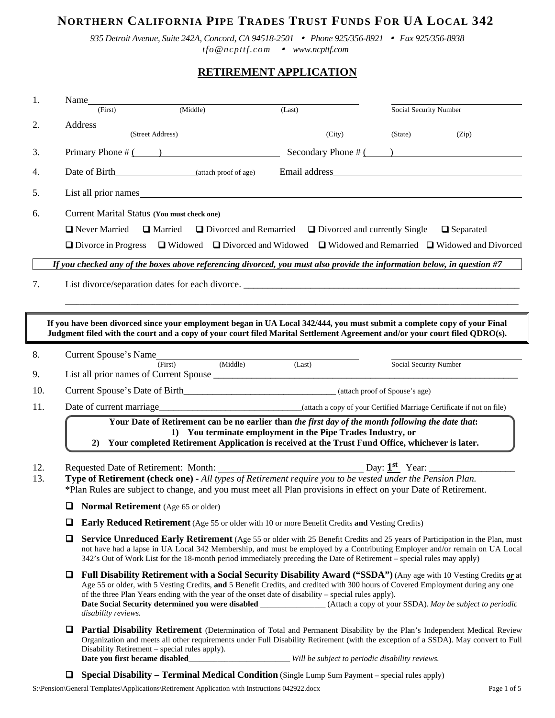# **NORTHERN CALIFORNIA PIPE TRADES TRUST FUNDS FOR UA LOCAL 342**

*935 Detroit Avenue, Suite 242A, Concord, CA 94518-2501 Phone 925/356-8921 Fax 925/356-8938 tfo@ncpttf.com www.ncpttf.com*

# **RETIREMENT APPLICATION**

| 1.         | Name___                                                                                                                                                                                                                                                                                                                                                                                         | (First)                         | (Middle)                                                                                                                                                                                                                       |                      | (Last) |                                                             | Social Security Number                          |                                                                                                                                                                                                                                                                                                                                                                                     |  |
|------------|-------------------------------------------------------------------------------------------------------------------------------------------------------------------------------------------------------------------------------------------------------------------------------------------------------------------------------------------------------------------------------------------------|---------------------------------|--------------------------------------------------------------------------------------------------------------------------------------------------------------------------------------------------------------------------------|----------------------|--------|-------------------------------------------------------------|-------------------------------------------------|-------------------------------------------------------------------------------------------------------------------------------------------------------------------------------------------------------------------------------------------------------------------------------------------------------------------------------------------------------------------------------------|--|
| 2.         |                                                                                                                                                                                                                                                                                                                                                                                                 |                                 |                                                                                                                                                                                                                                |                      |        |                                                             |                                                 |                                                                                                                                                                                                                                                                                                                                                                                     |  |
|            |                                                                                                                                                                                                                                                                                                                                                                                                 |                                 |                                                                                                                                                                                                                                |                      |        | (City)                                                      | (State)                                         | (Zip)                                                                                                                                                                                                                                                                                                                                                                               |  |
| 3.         |                                                                                                                                                                                                                                                                                                                                                                                                 |                                 | Primary Phone $\#$ ( )                                                                                                                                                                                                         |                      |        |                                                             |                                                 | Secondary Phone $\#$ ( )                                                                                                                                                                                                                                                                                                                                                            |  |
| 4.         |                                                                                                                                                                                                                                                                                                                                                                                                 |                                 | Date of Birth (attach proof of age)                                                                                                                                                                                            |                      |        |                                                             |                                                 |                                                                                                                                                                                                                                                                                                                                                                                     |  |
| 5.         |                                                                                                                                                                                                                                                                                                                                                                                                 |                                 | List all prior names solution of the state of the state of the state of the state of the state of the state of the state of the state of the state of the state of the state of the state of the state of the state of the sta |                      |        |                                                             |                                                 |                                                                                                                                                                                                                                                                                                                                                                                     |  |
| 6.         |                                                                                                                                                                                                                                                                                                                                                                                                 |                                 | <b>Current Marital Status (You must check one)</b>                                                                                                                                                                             |                      |        |                                                             |                                                 |                                                                                                                                                                                                                                                                                                                                                                                     |  |
|            | <b>Q</b> Never Married<br>$\Box$ Married<br>$\Box$ Divorced and Remarried $\Box$ Divorced and currently Single<br>$\Box$ Separated                                                                                                                                                                                                                                                              |                                 |                                                                                                                                                                                                                                |                      |        |                                                             |                                                 |                                                                                                                                                                                                                                                                                                                                                                                     |  |
|            |                                                                                                                                                                                                                                                                                                                                                                                                 | $\Box$ Divorce in Progress      |                                                                                                                                                                                                                                |                      |        |                                                             |                                                 | $\Box$ Widowed $\Box$ Divorced and Widowed $\Box$ Widowed and Remarried $\Box$ Widowed and Divorced                                                                                                                                                                                                                                                                                 |  |
|            |                                                                                                                                                                                                                                                                                                                                                                                                 |                                 |                                                                                                                                                                                                                                |                      |        |                                                             |                                                 | If you checked any of the boxes above referencing divorced, you must also provide the information below, in question #7                                                                                                                                                                                                                                                             |  |
| 7.         |                                                                                                                                                                                                                                                                                                                                                                                                 |                                 | List divorce/separation dates for each divorce.                                                                                                                                                                                |                      |        |                                                             |                                                 |                                                                                                                                                                                                                                                                                                                                                                                     |  |
|            |                                                                                                                                                                                                                                                                                                                                                                                                 |                                 |                                                                                                                                                                                                                                |                      |        |                                                             |                                                 |                                                                                                                                                                                                                                                                                                                                                                                     |  |
|            |                                                                                                                                                                                                                                                                                                                                                                                                 |                                 |                                                                                                                                                                                                                                |                      |        |                                                             |                                                 | If you have been divorced since your employment began in UA Local 342/444, you must submit a complete copy of your Final<br>Judgment filed with the court and a copy of your court filed Marital Settlement Agreement and/or your court filed QDRO(s).                                                                                                                              |  |
| 8.         |                                                                                                                                                                                                                                                                                                                                                                                                 | Current Spouse's Name           |                                                                                                                                                                                                                                |                      |        |                                                             |                                                 |                                                                                                                                                                                                                                                                                                                                                                                     |  |
| 9.         |                                                                                                                                                                                                                                                                                                                                                                                                 |                                 | (First)                                                                                                                                                                                                                        | rst) (Middle) (Last) |        |                                                             | Social Security Number                          |                                                                                                                                                                                                                                                                                                                                                                                     |  |
| 10.        |                                                                                                                                                                                                                                                                                                                                                                                                 |                                 |                                                                                                                                                                                                                                |                      |        |                                                             |                                                 |                                                                                                                                                                                                                                                                                                                                                                                     |  |
| 11.        |                                                                                                                                                                                                                                                                                                                                                                                                 |                                 |                                                                                                                                                                                                                                |                      |        |                                                             |                                                 |                                                                                                                                                                                                                                                                                                                                                                                     |  |
|            | 2)                                                                                                                                                                                                                                                                                                                                                                                              |                                 | Your Date of Retirement can be no earlier than the first day of the month following the date that:<br>Your completed Retirement Application is received at the Trust Fund Office, whichever is later.                          |                      |        | 1) You terminate employment in the Pipe Trades Industry, or |                                                 |                                                                                                                                                                                                                                                                                                                                                                                     |  |
| 12.<br>13. |                                                                                                                                                                                                                                                                                                                                                                                                 |                                 | Type of Retirement (check one) - All types of Retirement require you to be vested under the Pension Plan.<br>*Plan Rules are subject to change, and you must meet all Plan provisions in effect on your Date of Retirement.    |                      |        |                                                             |                                                 |                                                                                                                                                                                                                                                                                                                                                                                     |  |
|            | ❏                                                                                                                                                                                                                                                                                                                                                                                               |                                 | <b>Normal Retirement</b> (Age 65 or older)                                                                                                                                                                                     |                      |        |                                                             |                                                 |                                                                                                                                                                                                                                                                                                                                                                                     |  |
|            | □<br>Early Reduced Retirement (Age 55 or older with 10 or more Benefit Credits and Vesting Credits)                                                                                                                                                                                                                                                                                             |                                 |                                                                                                                                                                                                                                |                      |        |                                                             |                                                 |                                                                                                                                                                                                                                                                                                                                                                                     |  |
|            | □<br><b>Service Unreduced Early Retirement</b> (Age 55 or older with 25 Benefit Credits and 25 years of Participation in the Plan, must<br>not have had a lapse in UA Local 342 Membership, and must be employed by a Contributing Employer and/or remain on UA Local<br>342's Out of Work List for the 18-month period immediately preceding the Date of Retirement – special rules may apply) |                                 |                                                                                                                                                                                                                                |                      |        |                                                             |                                                 |                                                                                                                                                                                                                                                                                                                                                                                     |  |
|            | □                                                                                                                                                                                                                                                                                                                                                                                               | disability reviews.             | of the three Plan Years ending with the year of the onset date of disability – special rules apply).                                                                                                                           |                      |        |                                                             |                                                 | Full Disability Retirement with a Social Security Disability Award ("SSDA") (Any age with 10 Vesting Credits or at<br>Age 55 or older, with 5 Vesting Credits, and 5 Benefit Credits, and credited with 300 hours of Covered Employment during any one<br>Date Social Security determined you were disabled _______________(Attach a copy of your SSDA). May be subject to periodic |  |
|            | □                                                                                                                                                                                                                                                                                                                                                                                               | Date you first became disabled_ | Disability Retirement – special rules apply).                                                                                                                                                                                  |                      |        |                                                             | Will be subject to periodic disability reviews. | Partial Disability Retirement (Determination of Total and Permanent Disability by the Plan's Independent Medical Review<br>Organization and meets all other requirements under Full Disability Retirement (with the exception of a SSDA). May convert to Full                                                                                                                       |  |
|            | u                                                                                                                                                                                                                                                                                                                                                                                               |                                 | <b>Special Disability - Terminal Medical Condition</b> (Single Lump Sum Payment - special rules apply)                                                                                                                         |                      |        |                                                             |                                                 |                                                                                                                                                                                                                                                                                                                                                                                     |  |

S:\Pension\General Templates\Applications\Retirement Application with Instructions 042922.docx Page 1 of 5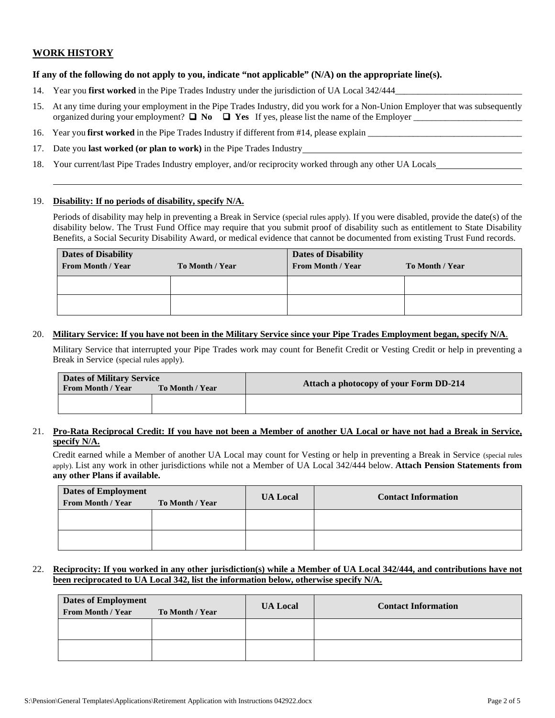### **WORK HISTORY**

#### **If any of the following do not apply to you, indicate "not applicable" (N/A) on the appropriate line(s).**

- 14. Year you **first worked** in the Pipe Trades Industry under the jurisdiction of UA Local 342/444
- 15. At any time during your employment in the Pipe Trades Industry, did you work for a Non-Union Employer that was subsequently organized during your employment?  $\Box$  **No**  $\Box$  **Yes** If yes, please list the name of the Employer
- 16. Year you **first worked** in the Pipe Trades Industry if different from #14, please explain \_\_\_\_\_\_\_\_\_\_\_\_\_\_\_\_\_\_\_\_\_\_\_\_\_\_\_\_\_\_\_\_\_\_
- 17. Date you **last worked (or plan to work)** in the Pipe Trades Industry
- 18. Your current/last Pipe Trades Industry employer, and/or reciprocity worked through any other UA Locals

#### 19. **Disability: If no periods of disability, specify N/A.**

Periods of disability may help in preventing a Break in Service (special rules apply). If you were disabled, provide the date(s) of the disability below. The Trust Fund Office may require that you submit proof of disability such as entitlement to State Disability Benefits, a Social Security Disability Award, or medical evidence that cannot be documented from existing Trust Fund records.

| <b>Dates of Disability</b><br><b>From Month / Year</b> | To Month / Year | <b>Dates of Disability</b><br><b>From Month / Year</b> | To Month / Year |
|--------------------------------------------------------|-----------------|--------------------------------------------------------|-----------------|
|                                                        |                 |                                                        |                 |
|                                                        |                 |                                                        |                 |

#### 20. **Military Service: If you have not been in the Military Service since your Pipe Trades Employment began, specify N/A**.

Military Service that interrupted your Pipe Trades work may count for Benefit Credit or Vesting Credit or help in preventing a Break in Service (special rules apply).

| <b>Dates of Military Service</b><br>From Month / Year<br>To Month / Year |  | Attach a photocopy of your Form DD-214 |  |  |
|--------------------------------------------------------------------------|--|----------------------------------------|--|--|
|                                                                          |  |                                        |  |  |

#### 21. **Pro-Rata Reciprocal Credit: If you have not been a Member of another UA Local or have not had a Break in Service, specify N/A.**

Credit earned while a Member of another UA Local may count for Vesting or help in preventing a Break in Service (special rules apply). List any work in other jurisdictions while not a Member of UA Local 342/444 below. **Attach Pension Statements from any other Plans if available.**

| <b>Dates of Employment</b><br><b>From Month / Year</b> | To Month / Year | <b>UA Local</b> | <b>Contact Information</b> |
|--------------------------------------------------------|-----------------|-----------------|----------------------------|
|                                                        |                 |                 |                            |
|                                                        |                 |                 |                            |

#### 22. **Reciprocity: If you worked in any other jurisdiction(s) while a Member of UA Local 342/444, and contributions have not been reciprocated to UA Local 342, list the information below, otherwise specify N/A.**

| <b>Dates of Employment</b>                  |  | <b>UA Local</b> | <b>Contact Information</b> |  |
|---------------------------------------------|--|-----------------|----------------------------|--|
| <b>From Month / Year</b><br>To Month / Year |  |                 |                            |  |
|                                             |  |                 |                            |  |
|                                             |  |                 |                            |  |
|                                             |  |                 |                            |  |
|                                             |  |                 |                            |  |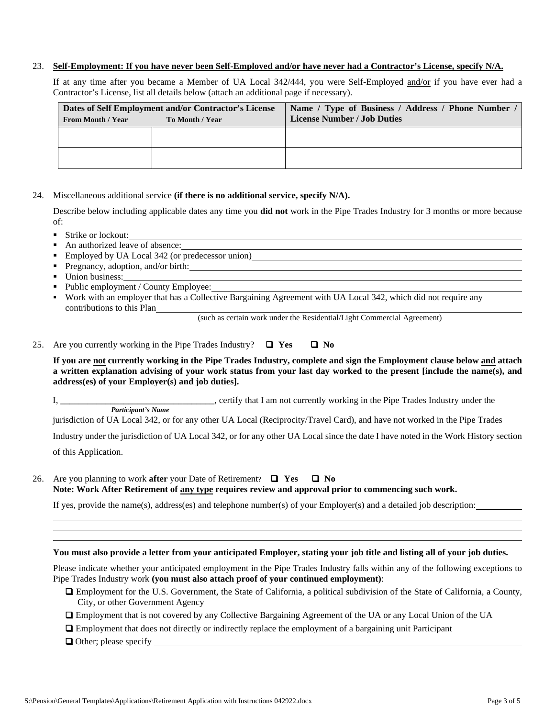#### 23. **Self-Employment: If you have never been Self-Employed and/or have never had a Contractor's License, specify N/A.**

If at any time after you became a Member of UA Local 342/444, you were Self-Employed and/or if you have ever had a Contractor's License, list all details below (attach an additional page if necessary).

| Dates of Self Employment and/or Contractor's License<br><b>From Month / Year</b><br>To Month / Year |  | Name / Type of Business / Address / Phone Number<br><b>License Number / Job Duties</b> |  |  |
|-----------------------------------------------------------------------------------------------------|--|----------------------------------------------------------------------------------------|--|--|
|                                                                                                     |  |                                                                                        |  |  |
|                                                                                                     |  |                                                                                        |  |  |

#### 24. Miscellaneous additional service **(if there is no additional service, specify N/A).**

Describe below including applicable dates any time you **did not** work in the Pipe Trades Industry for 3 months or more because of:

- Strike or lockout:
- An authorized leave of absence:
- Employed by UA Local 342 (or predecessor union)
- **Pregnancy, adoption, and/or birth:**
- Union business:
- Public employment / County Employee:
- Work with an employer that has a Collective Bargaining Agreement with UA Local 342, which did not require any contributions to this Plan

(such as certain work under the Residential/Light Commercial Agreement)

25. Are you currently working in the Pipe Trades Industry?  $\Box$  Yes  $\Box$  No

### **If you are not currently working in the Pipe Trades Industry, complete and sign the Employment clause below and attach a written explanation advising of your work status from your last day worked to the present [include the name(s), and address(es) of your Employer(s) and job duties].**

I, \_\_\_\_\_\_\_\_\_\_\_\_\_\_\_\_\_\_\_\_\_\_\_\_\_\_\_\_\_\_, certify that I am not currently working in the Pipe Trades Industry under the *Participant's Name* 

jurisdiction of UA Local 342, or for any other UA Local (Reciprocity/Travel Card), and have not worked in the Pipe Trades

Industry under the jurisdiction of UA Local 342, or for any other UA Local since the date I have noted in the Work History section of this Application.

26. Are you planning to work **after** your Date of Retirement? **Yes No Note: Work After Retirement of any type requires review and approval prior to commencing such work.**

If yes, provide the name(s), address(es) and telephone number(s) of your Employer(s) and a detailed job description:

#### **You must also provide a letter from your anticipated Employer, stating your job title and listing all of your job duties.**

Please indicate whether your anticipated employment in the Pipe Trades Industry falls within any of the following exceptions to Pipe Trades Industry work **(you must also attach proof of your continued employment)**:

- Employment for the U.S. Government, the State of California, a political subdivision of the State of California, a County, City, or other Government Agency
- Employment that is not covered by any Collective Bargaining Agreement of the UA or any Local Union of the UA
- Employment that does not directly or indirectly replace the employment of a bargaining unit Participant
- $\Box$  Other; please specify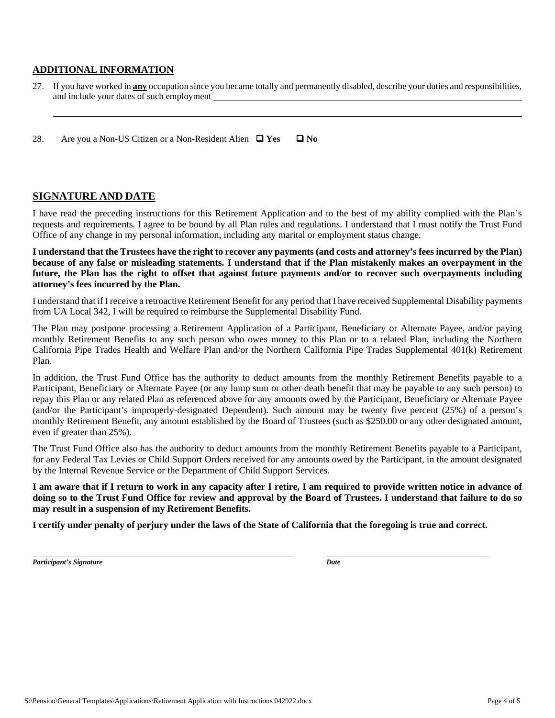### **ADDITIONAL INFORMATION**

27. If you have worked in **any** occupation since you became totally and permanently disabled, describe your duties and responsibilities, and include your dates of such employment

28. Are you a Non-US Citizen or a Non-Resident Alien  $\Box$  Yes  $\Box$  No

### **SIGNATURE AND DATE**

I have read the preceding instructions for this Retirement Application and to the best of my ability complied with the Plan's requests and requirements. I agree to be bound by all Plan rules and regulations. I understand that I must notify the Trust Fund Office of any change in my personal information, including any marital or employment status change.

**I understand that the Trustees have the right to recover any payments (and costs and attorney's fees incurred by the Plan) because of any false or misleading statements. I understand that if the Plan mistakenly makes an overpayment in the future, the Plan has the right to offset that against future payments and/or to recover such overpayments including attorney's fees incurred by the Plan.**

I understand that if I receive a retroactive Retirement Benefit for any period that I have received Supplemental Disability payments from UA Local 342, I will be required to reimburse the Supplemental Disability Fund.

The Plan may postpone processing a Retirement Application of a Participant, Beneficiary or Alternate Payee, and/or paying monthly Retirement Benefits to any such person who owes money to this Plan or to a related Plan, including the Northern California Pipe Trades Health and Welfare Plan and/or the Northern California Pipe Trades Supplemental 401(k) Retirement Plan.

In addition, the Trust Fund Office has the authority to deduct amounts from the monthly Retirement Benefits payable to a Participant, Beneficiary or Alternate Payee (or any lump sum or other death benefit that may be payable to any such person) to repay this Plan or any related Plan as referenced above for any amounts owed by the Participant, Beneficiary or Alternate Payee (and/or the Participant's improperly-designated Dependent). Such amount may be twenty five percent (25%) of a person's monthly Retirement Benefit, any amount established by the Board of Trustees (such as \$250.00 or any other designated amount, even if greater than 25%).

The Trust Fund Office also has the authority to deduct amounts from the monthly Retirement Benefits payable to a Participant, for any Federal Tax Levies or Child Support Orders received for any amounts owed by the Participant, in the amount designated by the Internal Revenue Service or the Department of Child Support Services.

**I am aware that if I return to work in any capacity after I retire, I am required to provide written notice in advance of doing so to the Trust Fund Office for review and approval by the Board of Trustees. I understand that failure to do so may result in a suspension of my Retirement Benefits.** 

**I certify under penalty of perjury under the laws of the State of California that the foregoing is true and correct.** 

*Participant's Signature Date*